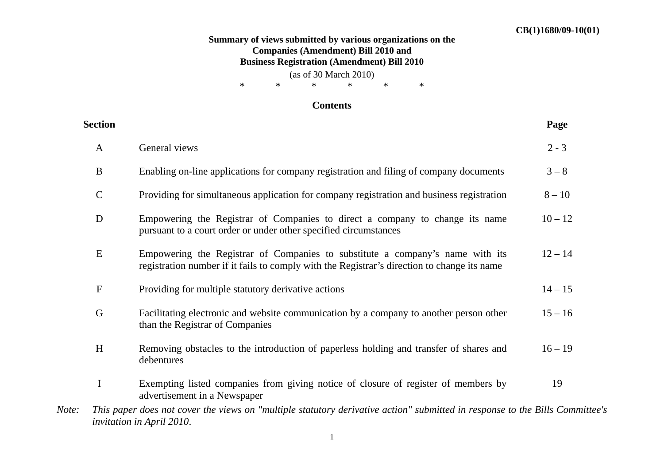## **Summary of views submitted by various organizations on the Companies (Amendment) Bill 2010 and Business Registration (Amendment) Bill 2010**

(as of 30 March 2010)  $\begin{matrix} * & * & * \end{matrix}$   $\begin{matrix} * & * \end{matrix}$   $\begin{matrix} * & * \end{matrix}$   $\begin{matrix} * & * \end{matrix}$ 

## **Contents**

|       | <b>Section</b> |                                                                                                                                                                              | Page      |
|-------|----------------|------------------------------------------------------------------------------------------------------------------------------------------------------------------------------|-----------|
|       | $\mathbf{A}$   | General views                                                                                                                                                                | $2 - 3$   |
|       | B              | Enabling on-line applications for company registration and filing of company documents                                                                                       | $3 - 8$   |
|       | $\mathbf C$    | Providing for simultaneous application for company registration and business registration                                                                                    | $8 - 10$  |
|       | $\mathbf D$    | Empowering the Registrar of Companies to direct a company to change its name<br>pursuant to a court order or under other specified circumstances                             | $10 - 12$ |
|       | E              | Empowering the Registrar of Companies to substitute a company's name with its<br>registration number if it fails to comply with the Registrar's direction to change its name | $12 - 14$ |
|       | $\mathbf F$    | Providing for multiple statutory derivative actions                                                                                                                          | $14 - 15$ |
|       | $\mathbf G$    | Facilitating electronic and website communication by a company to another person other<br>than the Registrar of Companies                                                    | $15 - 16$ |
|       | H              | Removing obstacles to the introduction of paperless holding and transfer of shares and<br>debentures                                                                         | $16 - 19$ |
|       | $\mathbf I$    | Exempting listed companies from giving notice of closure of register of members by<br>advertisement in a Newspaper                                                           | 19        |
| Note: |                | This paper does not cover the views on "multiple statutory derivative action" submitted in response to the Bills Committee's<br><i>invitation in April 2010.</i>             |           |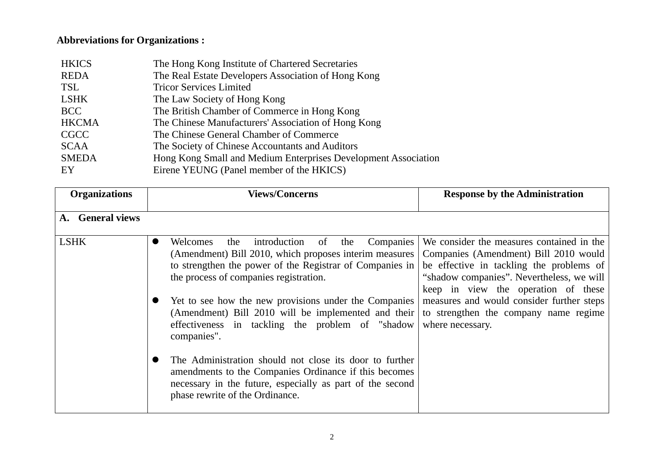## **Abbreviations for Organizations :**

| <b>HKICS</b> | The Hong Kong Institute of Chartered Secretaries               |
|--------------|----------------------------------------------------------------|
| <b>REDA</b>  | The Real Estate Developers Association of Hong Kong            |
| <b>TSL</b>   | <b>Tricor Services Limited</b>                                 |
| <b>LSHK</b>  | The Law Society of Hong Kong                                   |
| <b>BCC</b>   | The British Chamber of Commerce in Hong Kong                   |
| <b>HKCMA</b> | The Chinese Manufacturers' Association of Hong Kong            |
| <b>CGCC</b>  | The Chinese General Chamber of Commerce                        |
| <b>SCAA</b>  | The Society of Chinese Accountants and Auditors                |
| <b>SMEDA</b> | Hong Kong Small and Medium Enterprises Development Association |
| EY           | Eirene YEUNG (Panel member of the HKICS)                       |

| <b>Organizations</b> | <b>Views/Concerns</b>                                                                                                                                                                                                     | <b>Response by the Administration</b>                                                                                                                                                                              |
|----------------------|---------------------------------------------------------------------------------------------------------------------------------------------------------------------------------------------------------------------------|--------------------------------------------------------------------------------------------------------------------------------------------------------------------------------------------------------------------|
| A. General views     |                                                                                                                                                                                                                           |                                                                                                                                                                                                                    |
| <b>LSHK</b>          | introduction<br>Companies<br>Welcomes<br>the<br>the<br>of<br>(Amendment) Bill 2010, which proposes interim measures<br>to strengthen the power of the Registrar of Companies in<br>the process of companies registration. | We consider the measures contained in the<br>Companies (Amendment) Bill 2010 would<br>be effective in tackling the problems of<br>"shadow companies". Nevertheless, we will<br>keep in view the operation of these |
|                      | Yet to see how the new provisions under the Companies<br>(Amendment) Bill 2010 will be implemented and their  <br>effectiveness in tackling the problem of "shadow<br>companies".                                         | measures and would consider further steps<br>to strengthen the company name regime<br>where necessary.                                                                                                             |
|                      | The Administration should not close its door to further<br>amendments to the Companies Ordinance if this becomes<br>necessary in the future, especially as part of the second<br>phase rewrite of the Ordinance.          |                                                                                                                                                                                                                    |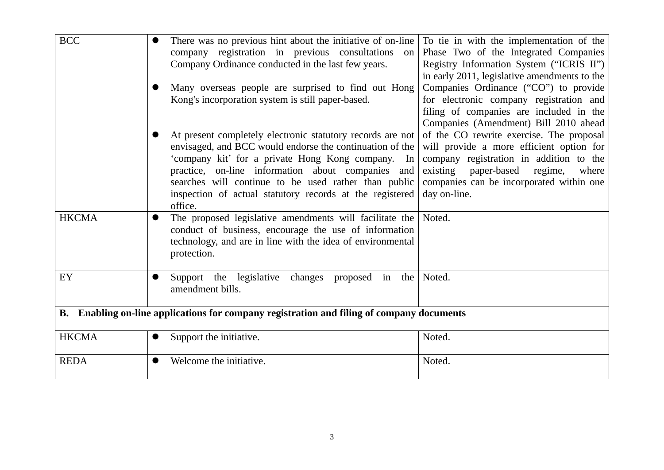| <b>BCC</b>                                                                                | There was no previous hint about the initiative of on-line<br>company registration in previous consultations<br>on<br>Company Ordinance conducted in the last few years.                                                   | To tie in with the implementation of the<br>Phase Two of the Integrated Companies<br>Registry Information System ("ICRIS II")                                                  |  |  |
|-------------------------------------------------------------------------------------------|----------------------------------------------------------------------------------------------------------------------------------------------------------------------------------------------------------------------------|--------------------------------------------------------------------------------------------------------------------------------------------------------------------------------|--|--|
|                                                                                           | Many overseas people are surprised to find out Hong<br>Kong's incorporation system is still paper-based.                                                                                                                   | in early 2011, legislative amendments to the<br>Companies Ordinance ("CO") to provide<br>for electronic company registration and                                               |  |  |
|                                                                                           | At present completely electronic statutory records are not                                                                                                                                                                 | filing of companies are included in the<br>Companies (Amendment) Bill 2010 ahead<br>of the CO rewrite exercise. The proposal                                                   |  |  |
|                                                                                           | envisaged, and BCC would endorse the continuation of the<br>'company kit' for a private Hong Kong company. In<br>practice, on-line information about companies and<br>searches will continue to be used rather than public | will provide a more efficient option for<br>company registration in addition to the<br>existing<br>paper-based<br>regime,<br>where<br>companies can be incorporated within one |  |  |
|                                                                                           | inspection of actual statutory records at the registered<br>office.                                                                                                                                                        | day on-line.                                                                                                                                                                   |  |  |
| <b>HKCMA</b>                                                                              | The proposed legislative amendments will facilitate the<br>conduct of business, encourage the use of information<br>technology, and are in line with the idea of environmental<br>protection.                              | Noted.                                                                                                                                                                         |  |  |
| EY                                                                                        | Support the legislative<br>changes proposed in the<br>amendment bills.                                                                                                                                                     | Noted.                                                                                                                                                                         |  |  |
| B. Enabling on-line applications for company registration and filing of company documents |                                                                                                                                                                                                                            |                                                                                                                                                                                |  |  |
| <b>HKCMA</b>                                                                              | Support the initiative.                                                                                                                                                                                                    | Noted.                                                                                                                                                                         |  |  |
| <b>REDA</b>                                                                               | Welcome the initiative.                                                                                                                                                                                                    | Noted.                                                                                                                                                                         |  |  |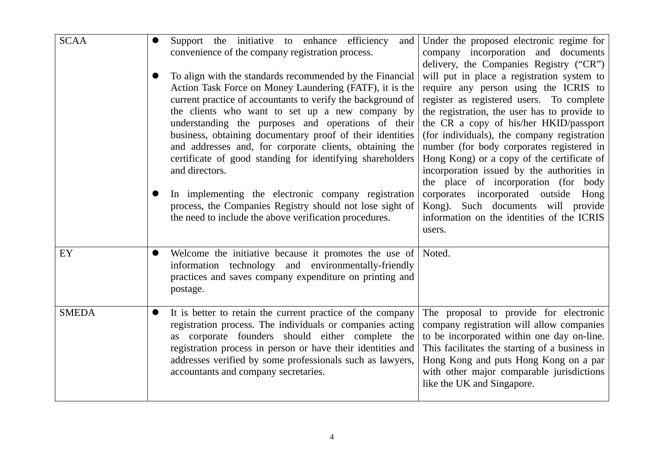| <b>SCAA</b>  | Support the initiative to enhance efficiency<br>and<br>convenience of the company registration process.                                                                                                                                                                                                                                                                                                                                                                                            | Under the proposed electronic regime for<br>company incorporation and documents<br>delivery, the Companies Registry ("CR")                                                                                                                                                                                                                                                                                                                                 |
|--------------|----------------------------------------------------------------------------------------------------------------------------------------------------------------------------------------------------------------------------------------------------------------------------------------------------------------------------------------------------------------------------------------------------------------------------------------------------------------------------------------------------|------------------------------------------------------------------------------------------------------------------------------------------------------------------------------------------------------------------------------------------------------------------------------------------------------------------------------------------------------------------------------------------------------------------------------------------------------------|
|              | To align with the standards recommended by the Financial<br>Action Task Force on Money Laundering (FATF), it is the<br>current practice of accountants to verify the background of<br>the clients who want to set up a new company by<br>understanding the purposes and operations of their<br>business, obtaining documentary proof of their identities<br>and addresses and, for corporate clients, obtaining the<br>certificate of good standing for identifying shareholders<br>and directors. | will put in place a registration system to<br>require any person using the ICRIS to<br>register as registered users. To complete<br>the registration, the user has to provide to<br>the CR a copy of his/her HKID/passport<br>(for individuals), the company registration<br>number (for body corporates registered in<br>Hong Kong) or a copy of the certificate of<br>incorporation issued by the authorities in<br>the place of incorporation (for body |
|              | In implementing the electronic company registration<br>process, the Companies Registry should not lose sight of<br>the need to include the above verification procedures.                                                                                                                                                                                                                                                                                                                          | corporates incorporated outside<br>Hong<br>Kong). Such documents will provide<br>information on the identities of the ICRIS<br>users.                                                                                                                                                                                                                                                                                                                      |
| EY           | Welcome the initiative because it promotes the use of Noted.<br>$\bullet$<br>information technology and environmentally-friendly<br>practices and saves company expenditure on printing and<br>postage.                                                                                                                                                                                                                                                                                            |                                                                                                                                                                                                                                                                                                                                                                                                                                                            |
| <b>SMEDA</b> | It is better to retain the current practice of the company<br>registration process. The individuals or companies acting<br>as corporate founders should either complete the<br>registration process in person or have their identities and<br>addresses verified by some professionals such as lawyers,<br>accountants and company secretaries.                                                                                                                                                    | The proposal to provide for electronic<br>company registration will allow companies<br>to be incorporated within one day on-line.<br>This facilitates the starting of a business in<br>Hong Kong and puts Hong Kong on a par<br>with other major comparable jurisdictions<br>like the UK and Singapore.                                                                                                                                                    |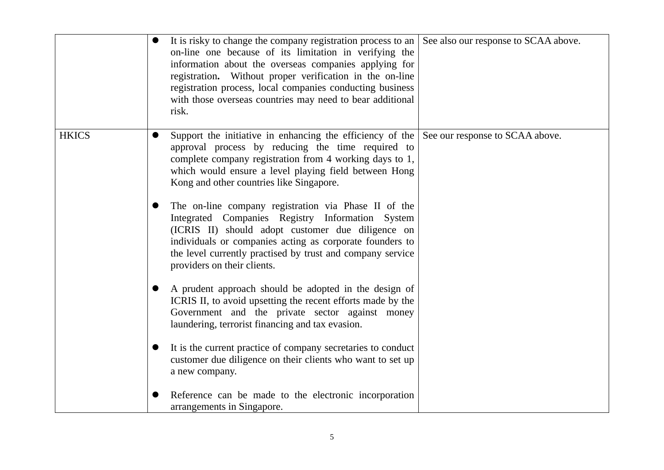|              | $\bullet$ | It is risky to change the company registration process to an See also our response to SCAA above.<br>on-line one because of its limitation in verifying the<br>information about the overseas companies applying for<br>registration. Without proper verification in the on-line<br>registration process, local companies conducting business<br>with those overseas countries may need to bear additional<br>risk. |  |
|--------------|-----------|---------------------------------------------------------------------------------------------------------------------------------------------------------------------------------------------------------------------------------------------------------------------------------------------------------------------------------------------------------------------------------------------------------------------|--|
| <b>HKICS</b> |           | Support the initiative in enhancing the efficiency of the See our response to SCAA above.<br>approval process by reducing the time required to<br>complete company registration from 4 working days to 1,<br>which would ensure a level playing field between Hong<br>Kong and other countries like Singapore.                                                                                                      |  |
|              | $\bullet$ | The on-line company registration via Phase II of the<br>Integrated Companies Registry Information System<br>(ICRIS II) should adopt customer due diligence on<br>individuals or companies acting as corporate founders to<br>the level currently practised by trust and company service<br>providers on their clients.                                                                                              |  |
|              |           | A prudent approach should be adopted in the design of<br>ICRIS II, to avoid upsetting the recent efforts made by the<br>Government and the private sector against money<br>laundering, terrorist financing and tax evasion.                                                                                                                                                                                         |  |
|              | $\bullet$ | It is the current practice of company secretaries to conduct<br>customer due diligence on their clients who want to set up<br>a new company.                                                                                                                                                                                                                                                                        |  |
|              |           | Reference can be made to the electronic incorporation<br>arrangements in Singapore.                                                                                                                                                                                                                                                                                                                                 |  |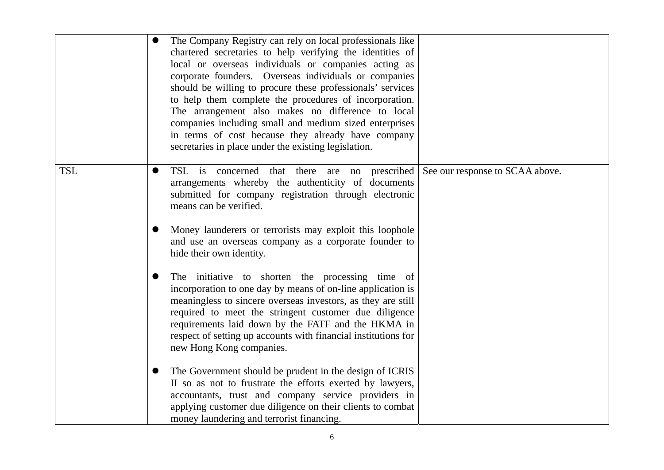|            |           | The Company Registry can rely on local professionals like<br>chartered secretaries to help verifying the identities of<br>local or overseas individuals or companies acting as<br>corporate founders. Overseas individuals or companies<br>should be willing to procure these professionals' services<br>to help them complete the procedures of incorporation.<br>The arrangement also makes no difference to local<br>companies including small and medium sized enterprises<br>in terms of cost because they already have company<br>secretaries in place under the existing legislation. |                                 |
|------------|-----------|----------------------------------------------------------------------------------------------------------------------------------------------------------------------------------------------------------------------------------------------------------------------------------------------------------------------------------------------------------------------------------------------------------------------------------------------------------------------------------------------------------------------------------------------------------------------------------------------|---------------------------------|
| <b>TSL</b> |           | TSL is concerned that there<br>prescribed<br>are<br>no<br>arrangements whereby the authenticity of documents<br>submitted for company registration through electronic<br>means can be verified.                                                                                                                                                                                                                                                                                                                                                                                              | See our response to SCAA above. |
|            |           | Money launderers or terrorists may exploit this loophole<br>and use an overseas company as a corporate founder to<br>hide their own identity.                                                                                                                                                                                                                                                                                                                                                                                                                                                |                                 |
|            |           | The initiative to shorten the processing time of<br>incorporation to one day by means of on-line application is<br>meaningless to sincere overseas investors, as they are still<br>required to meet the stringent customer due diligence<br>requirements laid down by the FATF and the HKMA in<br>respect of setting up accounts with financial institutions for<br>new Hong Kong companies.                                                                                                                                                                                                 |                                 |
|            | $\bullet$ | The Government should be prudent in the design of ICRIS<br>II so as not to frustrate the efforts exerted by lawyers,<br>accountants, trust and company service providers in<br>applying customer due diligence on their clients to combat<br>money laundering and terrorist financing.                                                                                                                                                                                                                                                                                                       |                                 |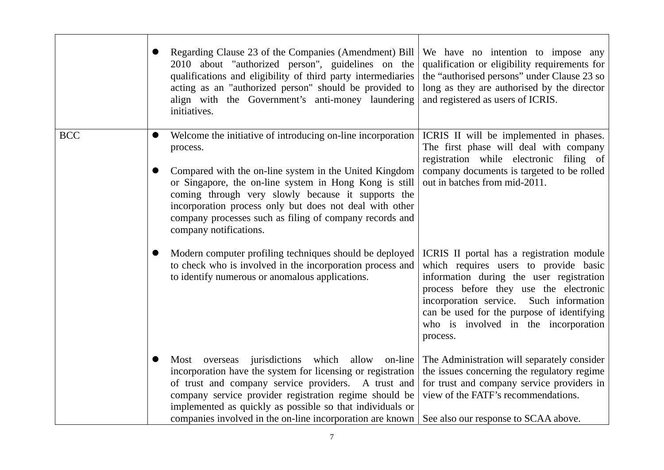|            | Regarding Clause 23 of the Companies (Amendment) Bill<br>2010 about "authorized person", guidelines on the<br>qualifications and eligibility of third party intermediaries<br>acting as an "authorized person" should be provided to<br>align with the Government's anti-money laundering<br>initiatives.                                                                                         | We have no intention to impose any<br>qualification or eligibility requirements for<br>the "authorised persons" under Clause 23 so<br>long as they are authorised by the director<br>and registered as users of ICRIS.                                                                                                   |
|------------|---------------------------------------------------------------------------------------------------------------------------------------------------------------------------------------------------------------------------------------------------------------------------------------------------------------------------------------------------------------------------------------------------|--------------------------------------------------------------------------------------------------------------------------------------------------------------------------------------------------------------------------------------------------------------------------------------------------------------------------|
| <b>BCC</b> | Welcome the initiative of introducing on-line incorporation<br>process.<br>Compared with the on-line system in the United Kingdom<br>or Singapore, the on-line system in Hong Kong is still<br>coming through very slowly because it supports the<br>incorporation process only but does not deal with other<br>company processes such as filing of company records and<br>company notifications. | ICRIS II will be implemented in phases.<br>The first phase will deal with company<br>registration while electronic filing of<br>company documents is targeted to be rolled<br>out in batches from mid-2011.                                                                                                              |
|            | Modern computer profiling techniques should be deployed<br>to check who is involved in the incorporation process and<br>to identify numerous or anomalous applications.                                                                                                                                                                                                                           | ICRIS II portal has a registration module<br>which requires users to provide basic<br>information during the user registration<br>process before they use the electronic<br>incorporation service.<br>Such information<br>can be used for the purpose of identifying<br>who is involved in the incorporation<br>process. |
|            | jurisdictions<br>which<br>allow on-line<br>Most overseas<br>incorporation have the system for licensing or registration<br>of trust and company service providers. A trust and<br>company service provider registration regime should be<br>implemented as quickly as possible so that individuals or<br>companies involved in the on-line incorporation are known                                | The Administration will separately consider<br>the issues concerning the regulatory regime<br>for trust and company service providers in<br>view of the FATF's recommendations.<br>See also our response to SCAA above.                                                                                                  |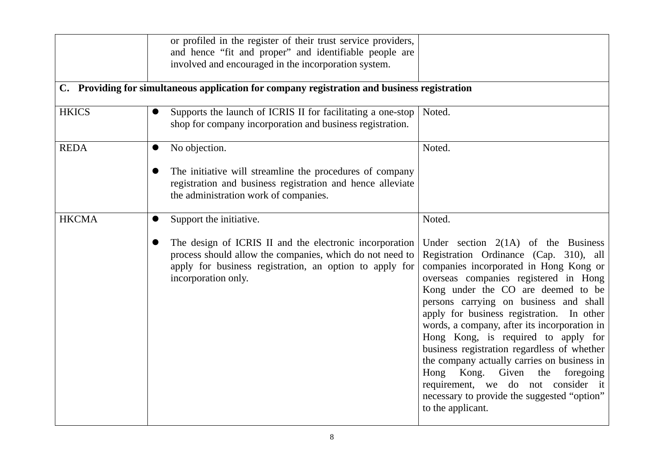|              | or profiled in the register of their trust service providers,<br>and hence "fit and proper" and identifiable people are<br>involved and encouraged in the incorporation system.                                                               |                                                                                                                                                                                                                                                                                                                                                                                                                                                                                                                                                                                                                                                     |
|--------------|-----------------------------------------------------------------------------------------------------------------------------------------------------------------------------------------------------------------------------------------------|-----------------------------------------------------------------------------------------------------------------------------------------------------------------------------------------------------------------------------------------------------------------------------------------------------------------------------------------------------------------------------------------------------------------------------------------------------------------------------------------------------------------------------------------------------------------------------------------------------------------------------------------------------|
|              | C. Providing for simultaneous application for company registration and business registration                                                                                                                                                  |                                                                                                                                                                                                                                                                                                                                                                                                                                                                                                                                                                                                                                                     |
| <b>HKICS</b> | Supports the launch of ICRIS II for facilitating a one-stop<br>shop for company incorporation and business registration.                                                                                                                      | Noted.                                                                                                                                                                                                                                                                                                                                                                                                                                                                                                                                                                                                                                              |
| <b>REDA</b>  | No objection.<br>The initiative will streamline the procedures of company<br>registration and business registration and hence alleviate<br>the administration work of companies.                                                              | Noted.                                                                                                                                                                                                                                                                                                                                                                                                                                                                                                                                                                                                                                              |
| <b>HKCMA</b> | Support the initiative.<br>$\bullet$<br>The design of ICRIS II and the electronic incorporation<br>process should allow the companies, which do not need to<br>apply for business registration, an option to apply for<br>incorporation only. | Noted.<br>Under section $2(1A)$ of the Business<br>Registration Ordinance (Cap. 310), all<br>companies incorporated in Hong Kong or<br>overseas companies registered in Hong<br>Kong under the CO are deemed to be<br>persons carrying on business and shall<br>apply for business registration. In other<br>words, a company, after its incorporation in<br>Hong Kong, is required to apply for<br>business registration regardless of whether<br>the company actually carries on business in<br>Hong Kong.<br>Given<br>the<br>foregoing<br>requirement, we do not consider it<br>necessary to provide the suggested "option"<br>to the applicant. |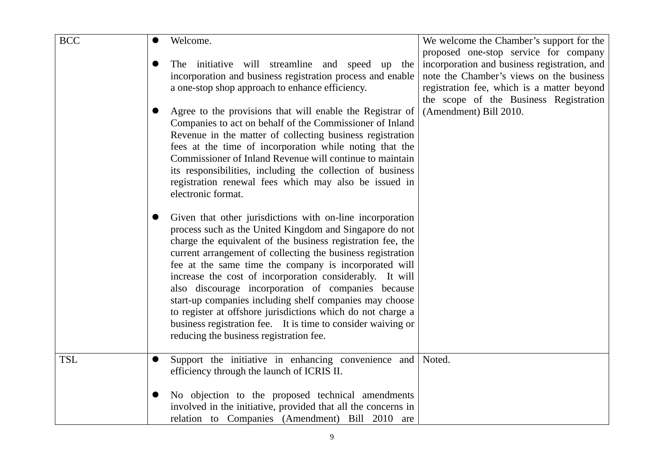| <b>BCC</b> | $\bullet$ | Welcome.                                                                                                                                                                                                                                                                                                                                                                                                                                                                                                                                                                                                                                                           | We welcome the Chamber's support for the<br>proposed one-stop service for company                                                                                                |
|------------|-----------|--------------------------------------------------------------------------------------------------------------------------------------------------------------------------------------------------------------------------------------------------------------------------------------------------------------------------------------------------------------------------------------------------------------------------------------------------------------------------------------------------------------------------------------------------------------------------------------------------------------------------------------------------------------------|----------------------------------------------------------------------------------------------------------------------------------------------------------------------------------|
|            |           | The initiative will streamline and speed up the<br>incorporation and business registration process and enable<br>a one-stop shop approach to enhance efficiency.                                                                                                                                                                                                                                                                                                                                                                                                                                                                                                   | incorporation and business registration, and<br>note the Chamber's views on the business<br>registration fee, which is a matter beyond<br>the scope of the Business Registration |
|            |           | Agree to the provisions that will enable the Registrar of<br>Companies to act on behalf of the Commissioner of Inland<br>Revenue in the matter of collecting business registration<br>fees at the time of incorporation while noting that the<br>Commissioner of Inland Revenue will continue to maintain<br>its responsibilities, including the collection of business<br>registration renewal fees which may also be issued in<br>electronic format.                                                                                                                                                                                                             | (Amendment) Bill 2010.                                                                                                                                                           |
|            |           | Given that other jurisdictions with on-line incorporation<br>process such as the United Kingdom and Singapore do not<br>charge the equivalent of the business registration fee, the<br>current arrangement of collecting the business registration<br>fee at the same time the company is incorporated will<br>increase the cost of incorporation considerably. It will<br>also discourage incorporation of companies because<br>start-up companies including shelf companies may choose<br>to register at offshore jurisdictions which do not charge a<br>business registration fee. It is time to consider waiving or<br>reducing the business registration fee. |                                                                                                                                                                                  |
| <b>TSL</b> | $\bullet$ | Support the initiative in enhancing convenience and<br>efficiency through the launch of ICRIS II.                                                                                                                                                                                                                                                                                                                                                                                                                                                                                                                                                                  | Noted.                                                                                                                                                                           |
|            |           | No objection to the proposed technical amendments<br>involved in the initiative, provided that all the concerns in<br>relation to Companies (Amendment) Bill 2010 are                                                                                                                                                                                                                                                                                                                                                                                                                                                                                              |                                                                                                                                                                                  |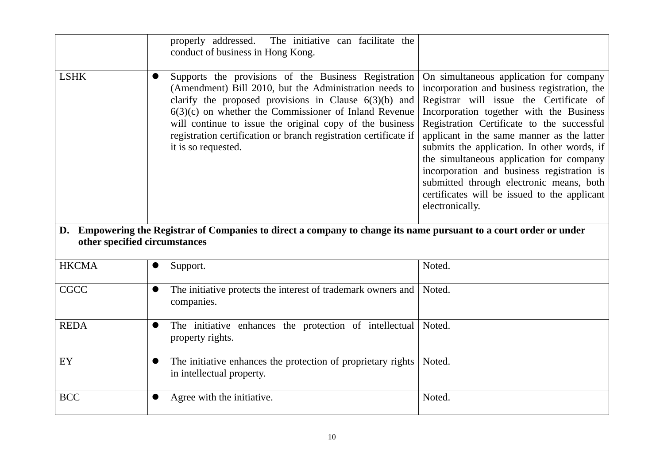|                               | properly addressed.<br>The initiative can facilitate the<br>conduct of business in Hong Kong.                                                                                                                                                                                                                                                                                               |                                                                                                                                                                                                                                                                                                                                                                                                                                                                                                                                    |
|-------------------------------|---------------------------------------------------------------------------------------------------------------------------------------------------------------------------------------------------------------------------------------------------------------------------------------------------------------------------------------------------------------------------------------------|------------------------------------------------------------------------------------------------------------------------------------------------------------------------------------------------------------------------------------------------------------------------------------------------------------------------------------------------------------------------------------------------------------------------------------------------------------------------------------------------------------------------------------|
| <b>LSHK</b>                   | Supports the provisions of the Business Registration<br>(Amendment) Bill 2010, but the Administration needs to<br>clarify the proposed provisions in Clause $6(3)(b)$ and<br>$6(3)(c)$ on whether the Commissioner of Inland Revenue<br>will continue to issue the original copy of the business<br>registration certification or branch registration certificate if<br>it is so requested. | On simultaneous application for company<br>incorporation and business registration, the<br>Registrar will issue the Certificate of<br>Incorporation together with the Business<br>Registration Certificate to the successful<br>applicant in the same manner as the latter<br>submits the application. In other words, if<br>the simultaneous application for company<br>incorporation and business registration is<br>submitted through electronic means, both<br>certificates will be issued to the applicant<br>electronically. |
| other specified circumstances | D. Empowering the Registrar of Companies to direct a company to change its name pursuant to a court order or under                                                                                                                                                                                                                                                                          |                                                                                                                                                                                                                                                                                                                                                                                                                                                                                                                                    |
| <b>HKCMA</b>                  | Support.                                                                                                                                                                                                                                                                                                                                                                                    | Noted.                                                                                                                                                                                                                                                                                                                                                                                                                                                                                                                             |
| <b>CGCC</b>                   | The initiative protects the interest of trademark owners and<br>companies.                                                                                                                                                                                                                                                                                                                  | Noted.                                                                                                                                                                                                                                                                                                                                                                                                                                                                                                                             |
| <b>REDA</b>                   | The initiative enhances the protection of intellectual<br>property rights.                                                                                                                                                                                                                                                                                                                  | Noted.                                                                                                                                                                                                                                                                                                                                                                                                                                                                                                                             |
| EY                            | The initiative enhances the protection of proprietary rights<br>in intellectual property.                                                                                                                                                                                                                                                                                                   | Noted.                                                                                                                                                                                                                                                                                                                                                                                                                                                                                                                             |
| <b>BCC</b>                    | Agree with the initiative.                                                                                                                                                                                                                                                                                                                                                                  | Noted.                                                                                                                                                                                                                                                                                                                                                                                                                                                                                                                             |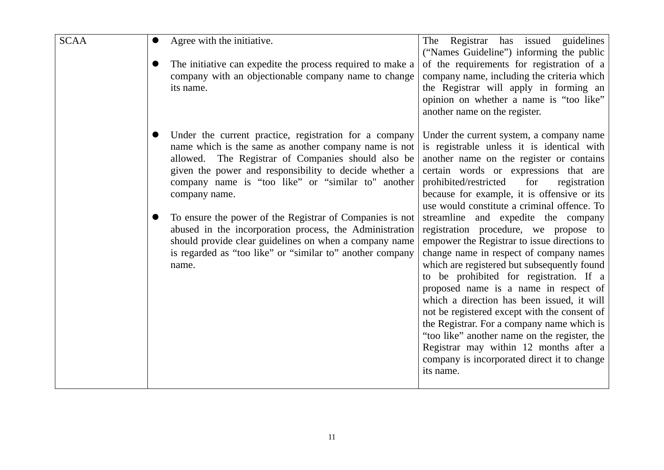| <b>SCAA</b> | Agree with the initiative.                                                                                                                                                                                                                                                                             | Registrar has issued guidelines<br>The<br>("Names Guideline") informing the public                                                                                                                                                                                                                                                                                                                                                                                                                                                                                                                           |
|-------------|--------------------------------------------------------------------------------------------------------------------------------------------------------------------------------------------------------------------------------------------------------------------------------------------------------|--------------------------------------------------------------------------------------------------------------------------------------------------------------------------------------------------------------------------------------------------------------------------------------------------------------------------------------------------------------------------------------------------------------------------------------------------------------------------------------------------------------------------------------------------------------------------------------------------------------|
|             | The initiative can expedite the process required to make a<br>company with an objectionable company name to change<br>its name.                                                                                                                                                                        | of the requirements for registration of a<br>company name, including the criteria which<br>the Registrar will apply in forming an<br>opinion on whether a name is "too like"<br>another name on the register.                                                                                                                                                                                                                                                                                                                                                                                                |
|             | Under the current practice, registration for a company<br>name which is the same as another company name is not<br>allowed. The Registrar of Companies should also be<br>given the power and responsibility to decide whether a<br>company name is "too like" or "similar to" another<br>company name. | Under the current system, a company name<br>is registrable unless it is identical with<br>another name on the register or contains<br>certain words or expressions that are<br>prohibited/restricted<br>for<br>registration<br>because for example, it is offensive or its<br>use would constitute a criminal offence. To                                                                                                                                                                                                                                                                                    |
|             | To ensure the power of the Registrar of Companies is not<br>abused in the incorporation process, the Administration<br>should provide clear guidelines on when a company name<br>is regarded as "too like" or "similar to" another company<br>name.                                                    | streamline and expedite the company<br>registration procedure, we propose to<br>empower the Registrar to issue directions to<br>change name in respect of company names<br>which are registered but subsequently found<br>to be prohibited for registration. If a<br>proposed name is a name in respect of<br>which a direction has been issued, it will<br>not be registered except with the consent of<br>the Registrar. For a company name which is<br>"too like" another name on the register, the<br>Registrar may within 12 months after a<br>company is incorporated direct it to change<br>its name. |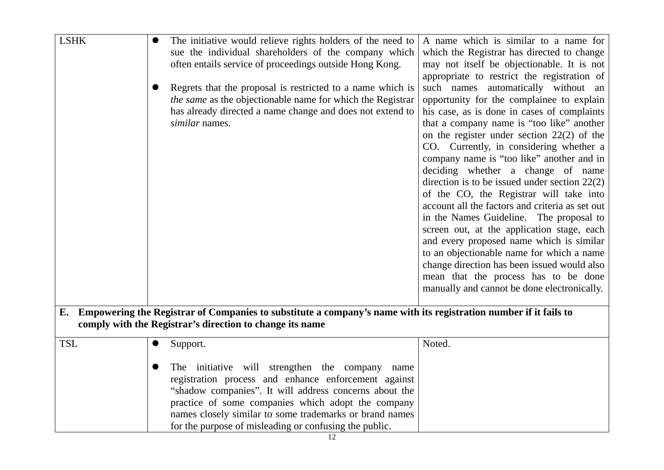| <b>LSHK</b> | The initiative would relieve rights holders of the need to<br>sue the individual shareholders of the company which<br>often entails service of proceedings outside Hong Kong.<br>Regrets that the proposal is restricted to a name which is<br>the same as the objectionable name for which the Registrar<br>has already directed a name change and does not extend to<br>similar names. | A name which is similar to a name for<br>which the Registrar has directed to change<br>may not itself be objectionable. It is not<br>appropriate to restrict the registration of<br>such names automatically without an<br>opportunity for the complainee to explain<br>his case, as is done in cases of complaints<br>that a company name is "too like" another<br>on the register under section $22(2)$ of the<br>CO. Currently, in considering whether a<br>company name is "too like" another and in<br>deciding whether a change of name<br>direction is to be issued under section $22(2)$<br>of the CO, the Registrar will take into<br>account all the factors and criteria as set out<br>in the Names Guideline. The proposal to<br>screen out, at the application stage, each<br>and every proposed name which is similar<br>to an objectionable name for which a name<br>change direction has been issued would also<br>mean that the process has to be done<br>manually and cannot be done electronically. |
|-------------|------------------------------------------------------------------------------------------------------------------------------------------------------------------------------------------------------------------------------------------------------------------------------------------------------------------------------------------------------------------------------------------|------------------------------------------------------------------------------------------------------------------------------------------------------------------------------------------------------------------------------------------------------------------------------------------------------------------------------------------------------------------------------------------------------------------------------------------------------------------------------------------------------------------------------------------------------------------------------------------------------------------------------------------------------------------------------------------------------------------------------------------------------------------------------------------------------------------------------------------------------------------------------------------------------------------------------------------------------------------------------------------------------------------------|
|             | E. Empowering the Registrar of Companies to substitute a company's name with its registration number if it fails to                                                                                                                                                                                                                                                                      |                                                                                                                                                                                                                                                                                                                                                                                                                                                                                                                                                                                                                                                                                                                                                                                                                                                                                                                                                                                                                        |
|             | comply with the Registrar's direction to change its name                                                                                                                                                                                                                                                                                                                                 |                                                                                                                                                                                                                                                                                                                                                                                                                                                                                                                                                                                                                                                                                                                                                                                                                                                                                                                                                                                                                        |
|             |                                                                                                                                                                                                                                                                                                                                                                                          |                                                                                                                                                                                                                                                                                                                                                                                                                                                                                                                                                                                                                                                                                                                                                                                                                                                                                                                                                                                                                        |
| <b>TSL</b>  | Support.                                                                                                                                                                                                                                                                                                                                                                                 | Noted.                                                                                                                                                                                                                                                                                                                                                                                                                                                                                                                                                                                                                                                                                                                                                                                                                                                                                                                                                                                                                 |
|             |                                                                                                                                                                                                                                                                                                                                                                                          |                                                                                                                                                                                                                                                                                                                                                                                                                                                                                                                                                                                                                                                                                                                                                                                                                                                                                                                                                                                                                        |
|             | The initiative will strengthen the company name                                                                                                                                                                                                                                                                                                                                          |                                                                                                                                                                                                                                                                                                                                                                                                                                                                                                                                                                                                                                                                                                                                                                                                                                                                                                                                                                                                                        |
|             | registration process and enhance enforcement against                                                                                                                                                                                                                                                                                                                                     |                                                                                                                                                                                                                                                                                                                                                                                                                                                                                                                                                                                                                                                                                                                                                                                                                                                                                                                                                                                                                        |
|             | "shadow companies". It will address concerns about the                                                                                                                                                                                                                                                                                                                                   |                                                                                                                                                                                                                                                                                                                                                                                                                                                                                                                                                                                                                                                                                                                                                                                                                                                                                                                                                                                                                        |
|             | practice of some companies which adopt the company                                                                                                                                                                                                                                                                                                                                       |                                                                                                                                                                                                                                                                                                                                                                                                                                                                                                                                                                                                                                                                                                                                                                                                                                                                                                                                                                                                                        |
|             | names closely similar to some trademarks or brand names                                                                                                                                                                                                                                                                                                                                  |                                                                                                                                                                                                                                                                                                                                                                                                                                                                                                                                                                                                                                                                                                                                                                                                                                                                                                                                                                                                                        |
|             | for the purpose of misleading or confusing the public.                                                                                                                                                                                                                                                                                                                                   |                                                                                                                                                                                                                                                                                                                                                                                                                                                                                                                                                                                                                                                                                                                                                                                                                                                                                                                                                                                                                        |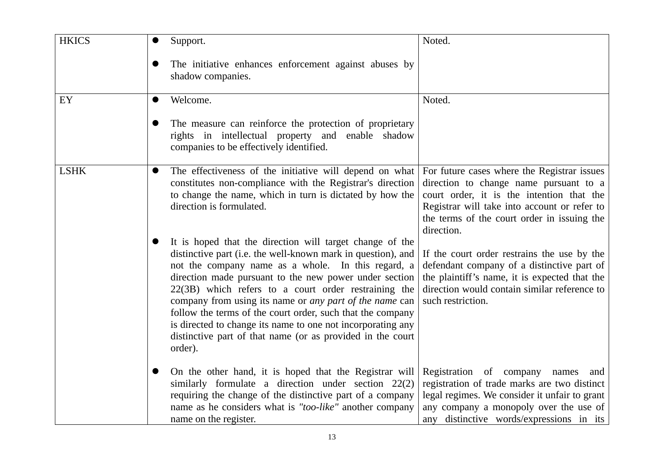| <b>HKICS</b> | Support.                                                                                                                                                                                                                                                                                                                                                                                                                                                                                                                                                                 | Noted.                                                                                                                                                                                                                                          |
|--------------|--------------------------------------------------------------------------------------------------------------------------------------------------------------------------------------------------------------------------------------------------------------------------------------------------------------------------------------------------------------------------------------------------------------------------------------------------------------------------------------------------------------------------------------------------------------------------|-------------------------------------------------------------------------------------------------------------------------------------------------------------------------------------------------------------------------------------------------|
|              | The initiative enhances enforcement against abuses by<br>shadow companies.                                                                                                                                                                                                                                                                                                                                                                                                                                                                                               |                                                                                                                                                                                                                                                 |
| EY           | Welcome.                                                                                                                                                                                                                                                                                                                                                                                                                                                                                                                                                                 | Noted.                                                                                                                                                                                                                                          |
|              | The measure can reinforce the protection of proprietary<br>rights in intellectual property and enable shadow<br>companies to be effectively identified.                                                                                                                                                                                                                                                                                                                                                                                                                  |                                                                                                                                                                                                                                                 |
| <b>LSHK</b>  | The effectiveness of the initiative will depend on what<br>$\bullet$<br>constitutes non-compliance with the Registrar's direction<br>to change the name, which in turn is dictated by how the<br>direction is formulated.                                                                                                                                                                                                                                                                                                                                                | For future cases where the Registrar issues<br>direction to change name pursuant to a<br>court order, it is the intention that the<br>Registrar will take into account or refer to<br>the terms of the court order in issuing the<br>direction. |
|              | It is hoped that the direction will target change of the<br>distinctive part (i.e. the well-known mark in question), and<br>not the company name as a whole. In this regard, a<br>direction made pursuant to the new power under section<br>22(3B) which refers to a court order restraining the<br>company from using its name or <i>any part of the name</i> can<br>follow the terms of the court order, such that the company<br>is directed to change its name to one not incorporating any<br>distinctive part of that name (or as provided in the court<br>order). | If the court order restrains the use by the<br>defendant company of a distinctive part of<br>the plaintiff's name, it is expected that the<br>direction would contain similar reference to<br>such restriction.                                 |
|              | On the other hand, it is hoped that the Registrar will<br>similarly formulate a direction under section 22(2)<br>requiring the change of the distinctive part of a company<br>name as he considers what is "too-like" another company<br>name on the register.                                                                                                                                                                                                                                                                                                           | Registration of company<br>names<br>and<br>registration of trade marks are two distinct<br>legal regimes. We consider it unfair to grant<br>any company a monopoly over the use of<br>any distinctive words/expressions in its                  |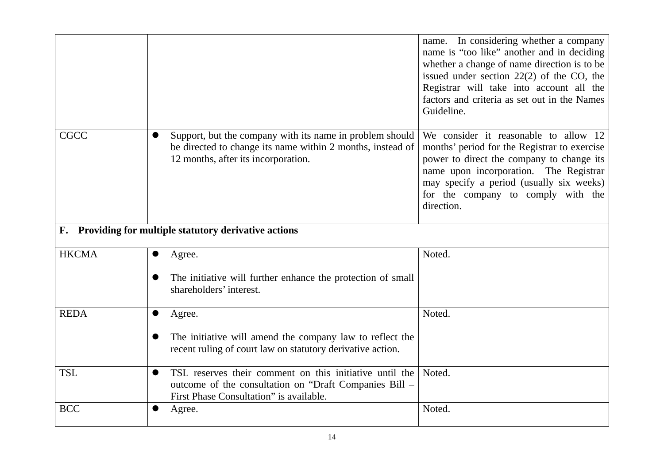|                                                        |                                                                                                                                                                           | name. In considering whether a company<br>name is "too like" another and in deciding<br>whether a change of name direction is to be<br>issued under section $22(2)$ of the CO, the<br>Registrar will take into account all the<br>factors and criteria as set out in the Names<br>Guideline. |  |
|--------------------------------------------------------|---------------------------------------------------------------------------------------------------------------------------------------------------------------------------|----------------------------------------------------------------------------------------------------------------------------------------------------------------------------------------------------------------------------------------------------------------------------------------------|--|
| <b>CGCC</b>                                            | Support, but the company with its name in problem should<br>be directed to change its name within 2 months, instead of<br>12 months, after its incorporation.             | We consider it reasonable to allow 12<br>months' period for the Registrar to exercise<br>power to direct the company to change its<br>name upon incorporation. The Registrar<br>may specify a period (usually six weeks)<br>for the company to comply with the<br>direction.                 |  |
| F. Providing for multiple statutory derivative actions |                                                                                                                                                                           |                                                                                                                                                                                                                                                                                              |  |
| <b>HKCMA</b>                                           | Agree.                                                                                                                                                                    | Noted.                                                                                                                                                                                                                                                                                       |  |
|                                                        | The initiative will further enhance the protection of small<br>shareholders' interest.                                                                                    |                                                                                                                                                                                                                                                                                              |  |
| <b>REDA</b>                                            | $\bullet$<br>Agree.                                                                                                                                                       | Noted.                                                                                                                                                                                                                                                                                       |  |
|                                                        | The initiative will amend the company law to reflect the<br>recent ruling of court law on statutory derivative action.                                                    |                                                                                                                                                                                                                                                                                              |  |
| <b>TSL</b>                                             | TSL reserves their comment on this initiative until the<br>$\bullet$<br>outcome of the consultation on "Draft Companies Bill -<br>First Phase Consultation" is available. | Noted.                                                                                                                                                                                                                                                                                       |  |
| <b>BCC</b>                                             | Agree.                                                                                                                                                                    | Noted.                                                                                                                                                                                                                                                                                       |  |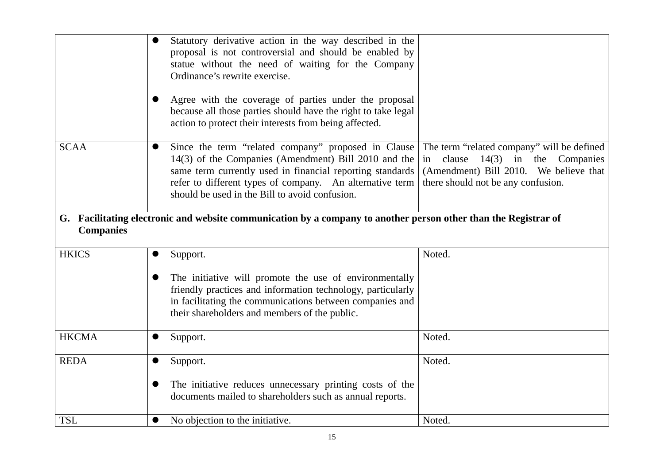|                                                                                                                                     | Statutory derivative action in the way described in the<br>proposal is not controversial and should be enabled by                                                                                                                                                                                   |                                                                                                                                                                        |  |
|-------------------------------------------------------------------------------------------------------------------------------------|-----------------------------------------------------------------------------------------------------------------------------------------------------------------------------------------------------------------------------------------------------------------------------------------------------|------------------------------------------------------------------------------------------------------------------------------------------------------------------------|--|
|                                                                                                                                     | statue without the need of waiting for the Company<br>Ordinance's rewrite exercise.                                                                                                                                                                                                                 |                                                                                                                                                                        |  |
|                                                                                                                                     | Agree with the coverage of parties under the proposal<br>because all those parties should have the right to take legal<br>action to protect their interests from being affected.                                                                                                                    |                                                                                                                                                                        |  |
| <b>SCAA</b>                                                                                                                         | Since the term "related company" proposed in Clause<br>$\bullet$<br>14(3) of the Companies (Amendment) Bill 2010 and the<br>same term currently used in financial reporting standards<br>refer to different types of company. An alternative term<br>should be used in the Bill to avoid confusion. | The term "related company" will be defined<br>$14(3)$ in the Companies<br>clause<br>in<br>(Amendment) Bill 2010. We believe that<br>there should not be any confusion. |  |
| G. Facilitating electronic and website communication by a company to another person other than the Registrar of<br><b>Companies</b> |                                                                                                                                                                                                                                                                                                     |                                                                                                                                                                        |  |
| <b>HKICS</b>                                                                                                                        | Support.                                                                                                                                                                                                                                                                                            | Noted.                                                                                                                                                                 |  |
|                                                                                                                                     | The initiative will promote the use of environmentally<br>friendly practices and information technology, particularly<br>in facilitating the communications between companies and<br>their shareholders and members of the public.                                                                  |                                                                                                                                                                        |  |
| <b>HKCMA</b>                                                                                                                        | Support.                                                                                                                                                                                                                                                                                            | Noted.                                                                                                                                                                 |  |
| <b>REDA</b>                                                                                                                         | Support.<br>$\bullet$                                                                                                                                                                                                                                                                               | Noted.                                                                                                                                                                 |  |
|                                                                                                                                     | The initiative reduces unnecessary printing costs of the<br>documents mailed to shareholders such as annual reports.                                                                                                                                                                                |                                                                                                                                                                        |  |
| <b>TSL</b>                                                                                                                          | No objection to the initiative.<br>$\bullet$                                                                                                                                                                                                                                                        | Noted.                                                                                                                                                                 |  |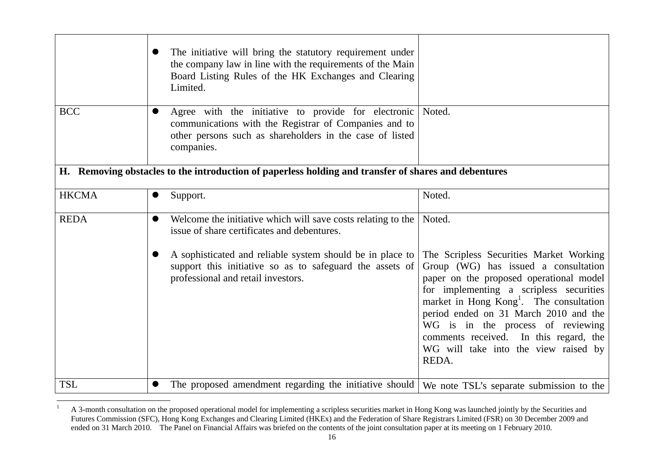|              | $\bullet$ | The initiative will bring the statutory requirement under<br>the company law in line with the requirements of the Main<br>Board Listing Rules of the HK Exchanges and Clearing<br>Limited.    |                                                                                                                                                                                                                                                                                                                                                                                                       |
|--------------|-----------|-----------------------------------------------------------------------------------------------------------------------------------------------------------------------------------------------|-------------------------------------------------------------------------------------------------------------------------------------------------------------------------------------------------------------------------------------------------------------------------------------------------------------------------------------------------------------------------------------------------------|
| <b>BCC</b>   | $\bullet$ | Agree with the initiative to provide for electronic Noted.<br>communications with the Registrar of Companies and to<br>other persons such as shareholders in the case of listed<br>companies. |                                                                                                                                                                                                                                                                                                                                                                                                       |
|              |           | H. Removing obstacles to the introduction of paperless holding and transfer of shares and debentures                                                                                          |                                                                                                                                                                                                                                                                                                                                                                                                       |
| <b>HKCMA</b> | $\bullet$ | Support.                                                                                                                                                                                      | Noted.                                                                                                                                                                                                                                                                                                                                                                                                |
| <b>REDA</b>  | $\bullet$ | Welcome the initiative which will save costs relating to the<br>issue of share certificates and debentures.                                                                                   | Noted.                                                                                                                                                                                                                                                                                                                                                                                                |
|              |           | A sophisticated and reliable system should be in place to<br>support this initiative so as to safeguard the assets of<br>professional and retail investors.                                   | The Scripless Securities Market Working<br>Group (WG) has issued a consultation<br>paper on the proposed operational model<br>for implementing a scripless securities<br>market in Hong Kong <sup>1</sup> . The consultation<br>period ended on 31 March 2010 and the<br>WG is in the process of reviewing<br>comments received. In this regard, the<br>WG will take into the view raised by<br>REDA. |
| <b>TSL</b>   |           | The proposed amendment regarding the initiative should                                                                                                                                        | We note TSL's separate submission to the                                                                                                                                                                                                                                                                                                                                                              |

 $1$  A 3-month consultation on the proposed operational model for implementing a scripless securities market in Hong Kong was launched jointly by the Securities and Futures Commission (SFC), Hong Kong Exchanges and Clearing Limited (HKEx) and the Federation of Share Registrars Limited (FSR) on 30 December 2009 and ended on 31 March 2010. The Panel on Financial Affairs was briefed on the contents of the joint consultation paper at its meeting on 1 February 2010.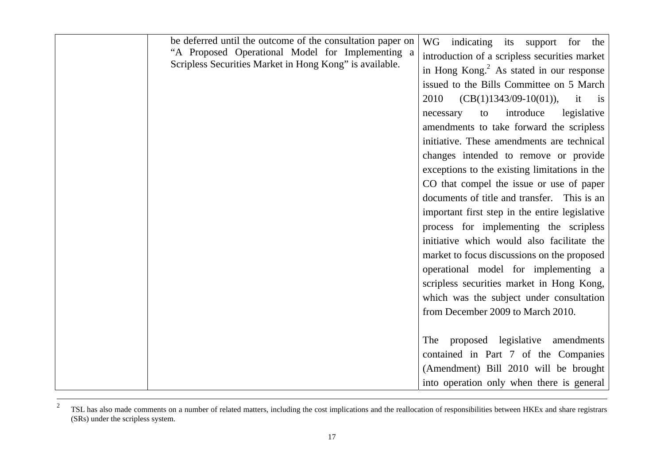| be deferred until the outcome of the consultation paper on<br>"A Proposed Operational Model for Implementing a<br>Scripless Securities Market in Hong Kong" is available. | WG indicating its support for the<br>introduction of a scripless securities market<br>in Hong Kong. $2$ As stated in our response<br>issued to the Bills Committee on 5 March<br>$(CB(1)1343/09-10(01))$ , it is<br>2010<br>introduce<br>legislative<br>to<br>necessary<br>amendments to take forward the scripless<br>initiative. These amendments are technical<br>changes intended to remove or provide<br>exceptions to the existing limitations in the<br>CO that compel the issue or use of paper<br>documents of title and transfer. This is an<br>important first step in the entire legislative<br>process for implementing the scripless<br>initiative which would also facilitate the<br>market to focus discussions on the proposed<br>operational model for implementing a<br>scripless securities market in Hong Kong,<br>which was the subject under consultation<br>from December 2009 to March 2010. |
|---------------------------------------------------------------------------------------------------------------------------------------------------------------------------|-----------------------------------------------------------------------------------------------------------------------------------------------------------------------------------------------------------------------------------------------------------------------------------------------------------------------------------------------------------------------------------------------------------------------------------------------------------------------------------------------------------------------------------------------------------------------------------------------------------------------------------------------------------------------------------------------------------------------------------------------------------------------------------------------------------------------------------------------------------------------------------------------------------------------|
|                                                                                                                                                                           | The proposed legislative amendments<br>contained in Part 7 of the Companies<br>(Amendment) Bill 2010 will be brought                                                                                                                                                                                                                                                                                                                                                                                                                                                                                                                                                                                                                                                                                                                                                                                                  |
|                                                                                                                                                                           | into operation only when there is general                                                                                                                                                                                                                                                                                                                                                                                                                                                                                                                                                                                                                                                                                                                                                                                                                                                                             |

<sup>2</sup> TSL has also made comments on a number of related matters, including the cost implications and the reallocation of responsibilities between HKEx and share registrars (SRs) under the scripless system.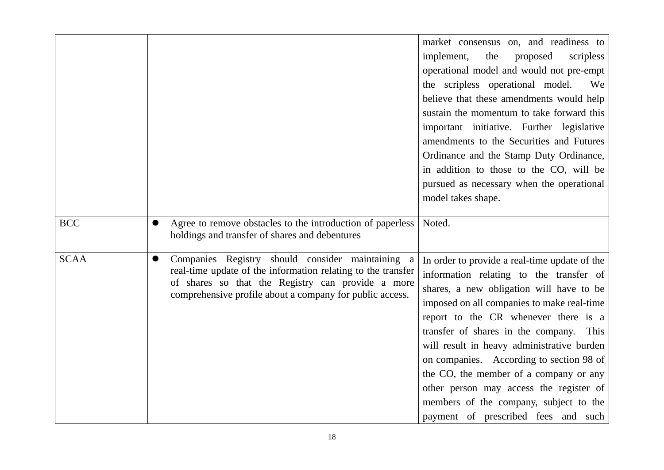|             |                                                                                                                                                                                                                                                   | market consensus on, and readiness to<br>implement,<br>the<br>proposed<br>scripless<br>operational model and would not pre-empt<br>the scripless operational model.<br>We<br>believe that these amendments would help<br>sustain the momentum to take forward this<br>important initiative. Further legislative<br>amendments to the Securities and Futures                                                                                                                                                                           |
|-------------|---------------------------------------------------------------------------------------------------------------------------------------------------------------------------------------------------------------------------------------------------|---------------------------------------------------------------------------------------------------------------------------------------------------------------------------------------------------------------------------------------------------------------------------------------------------------------------------------------------------------------------------------------------------------------------------------------------------------------------------------------------------------------------------------------|
|             |                                                                                                                                                                                                                                                   | Ordinance and the Stamp Duty Ordinance,<br>in addition to those to the CO, will be<br>pursued as necessary when the operational<br>model takes shape.                                                                                                                                                                                                                                                                                                                                                                                 |
| <b>BCC</b>  | Agree to remove obstacles to the introduction of paperless<br>●<br>holdings and transfer of shares and debentures                                                                                                                                 | Noted.                                                                                                                                                                                                                                                                                                                                                                                                                                                                                                                                |
| <b>SCAA</b> | Companies Registry should consider maintaining<br>$\bullet$<br>a<br>real-time update of the information relating to the transfer<br>of shares so that the Registry can provide a more<br>comprehensive profile about a company for public access. | In order to provide a real-time update of the<br>information relating to the transfer of<br>shares, a new obligation will have to be<br>imposed on all companies to make real-time<br>report to the CR whenever there is a<br>transfer of shares in the company. This<br>will result in heavy administrative burden<br>on companies. According to section 98 of<br>the CO, the member of a company or any<br>other person may access the register of<br>members of the company, subject to the<br>payment of prescribed fees and such |